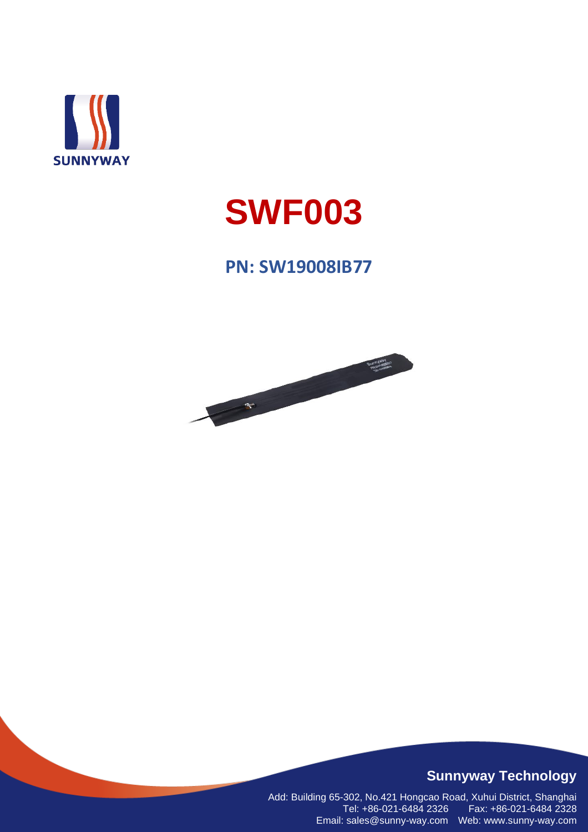

# **SWF003**

## **PN: SW19008IB77**



#### **Sunnyway Technology**

Add: Building 65-302, No.421 Hongcao Road, Xuhui District, Shanghai Tel: +86-021-6484 2326 Fax: +86-021-6484 2328 Email: sales@sunny-way.com Web: www.sunny-way.com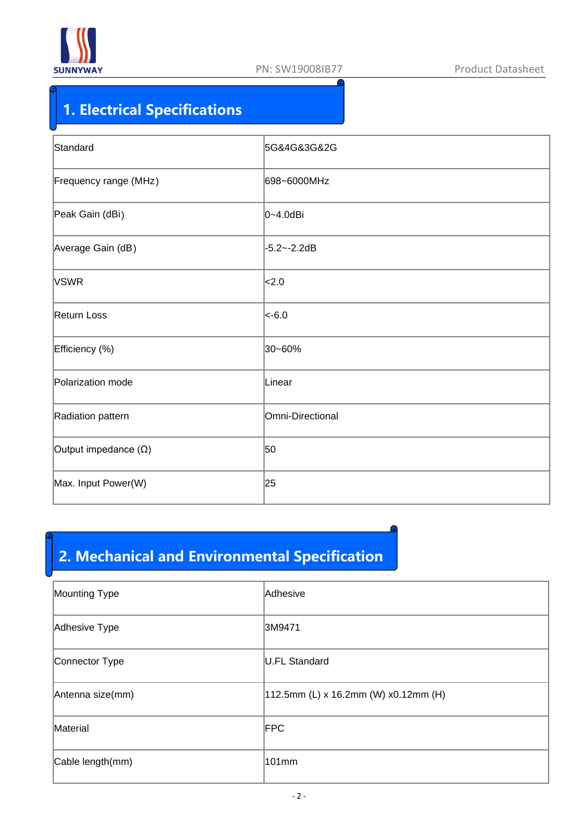

# **1. Electrical Specifications**

| Standard                    | 5G&4G&3G&2G      |
|-----------------------------|------------------|
| Frequency range (MHz)       | 698~6000MHz      |
| Peak Gain (dBi)             | $ 0 - 4.0$ dBi   |
| Average Gain (dB)           | -5.2~-2.2dB      |
| <b>VSWR</b>                 | <sub>2.0</sub>   |
| Return Loss                 | $ $ <-6.0        |
| Efficiency (%)              | 30~60%           |
| Polarization mode           | Linear           |
| Radiation pattern           | Omni-Directional |
| Output impedance $(\Omega)$ | 50               |
| Max. Input Power(W)         | 25               |

# **2. Mechanical and Environmental Specification**

| Mounting Type    | Adhesive                             |
|------------------|--------------------------------------|
| Adhesive Type    | 3M9471                               |
| Connector Type   | U.FL Standard                        |
| Antenna size(mm) | 112.5mm (L) x 16.2mm (W) x0.12mm (H) |
| Material         | <b>FPC</b>                           |
| Cable length(mm) | 101mm                                |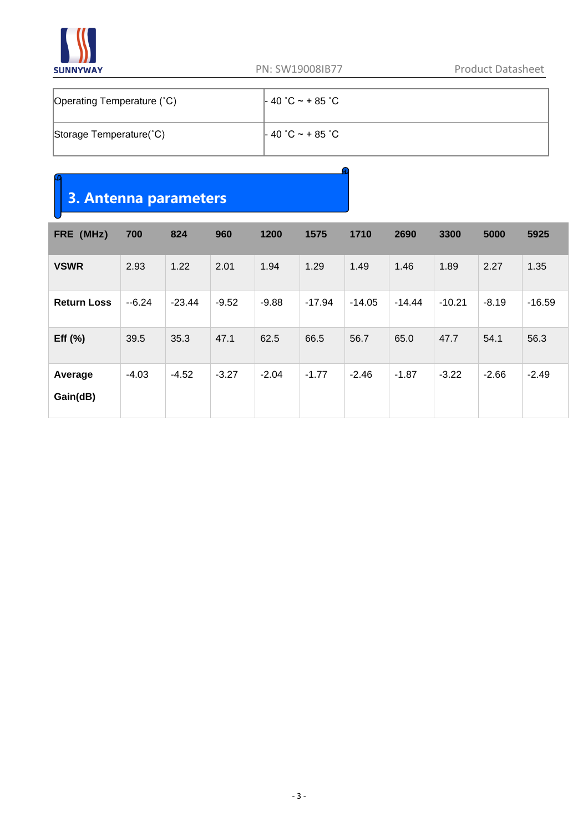

| Operating Temperature (°C) | $-40$ °C ~ + 85 °C |  |  |  |  |
|----------------------------|--------------------|--|--|--|--|
| Storage Temperature(°C)    | $-40$ °C ~ + 85 °C |  |  |  |  |

### **3. Antenna parameters**

| FRE (MHz)           | 700     | 824      | 960     | 1200    | 1575     | 1710     | 2690     | 3300     | 5000    | 5925     |
|---------------------|---------|----------|---------|---------|----------|----------|----------|----------|---------|----------|
| <b>VSWR</b>         | 2.93    | 1.22     | 2.01    | 1.94    | 1.29     | 1.49     | 1.46     | 1.89     | 2.27    | 1.35     |
| <b>Return Loss</b>  | $-6.24$ | $-23.44$ | $-9.52$ | $-9.88$ | $-17.94$ | $-14.05$ | $-14.44$ | $-10.21$ | $-8.19$ | $-16.59$ |
| Eff $(%)$           | 39.5    | 35.3     | 47.1    | 62.5    | 66.5     | 56.7     | 65.0     | 47.7     | 54.1    | 56.3     |
| Average<br>Gain(dB) | $-4.03$ | $-4.52$  | $-3.27$ | $-2.04$ | $-1.77$  | $-2.46$  | $-1.87$  | $-3.22$  | $-2.66$ | $-2.49$  |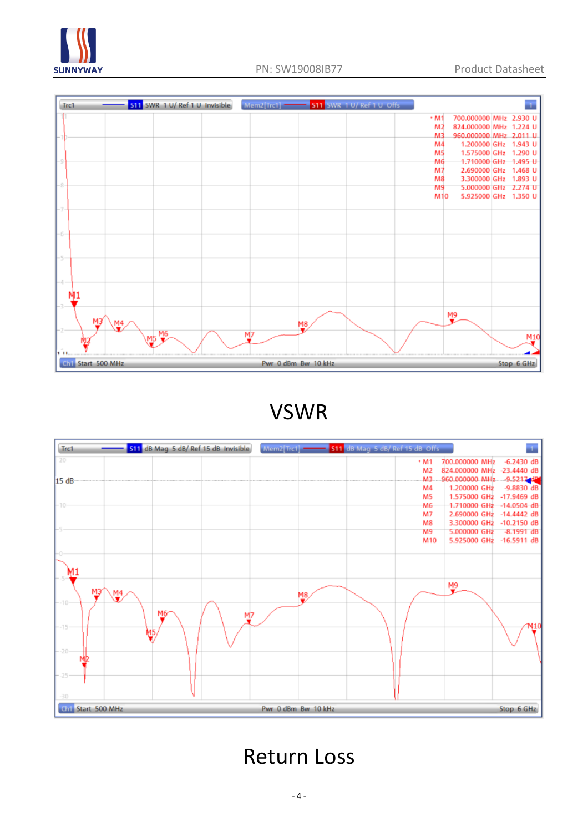



VSWR



Return Loss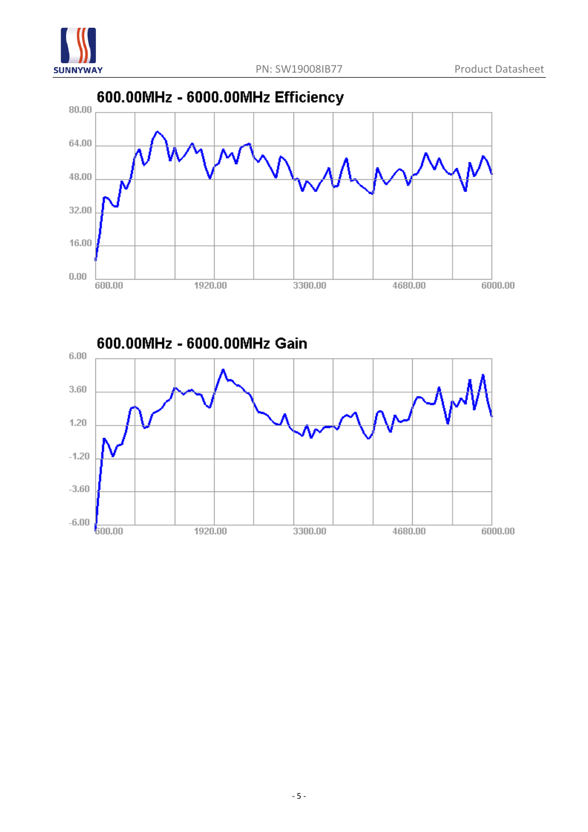



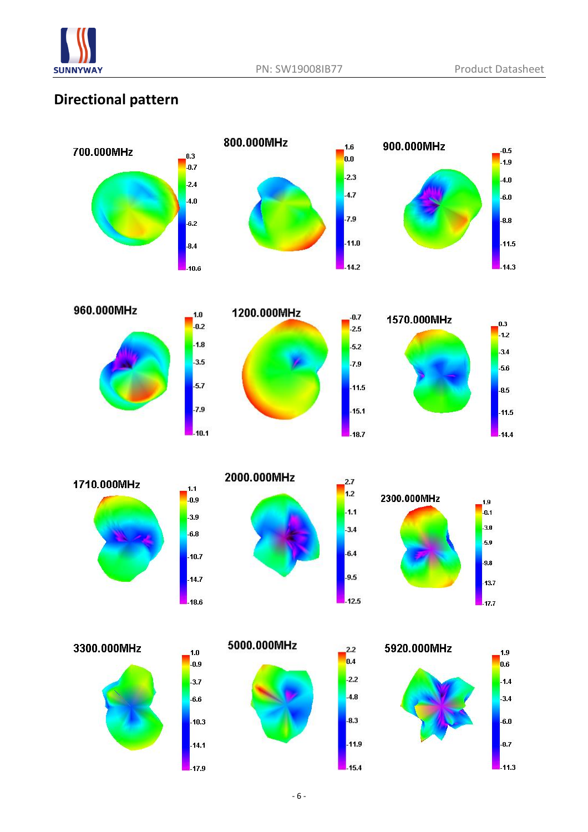

#### **Directional pattern**













 $1.0$ 

 $-0.9$ 

 $-3.7$ 

 $-6.6$ 

 $-10.3$ 

 $-14.1$ 

 $-17.9$ 



 $2.7$ 

 $1.2$ 

 $\vert$  1.1

 $-3.4$ 

 $-6.4$ 

 $-9.5$ 

 $-12.5$